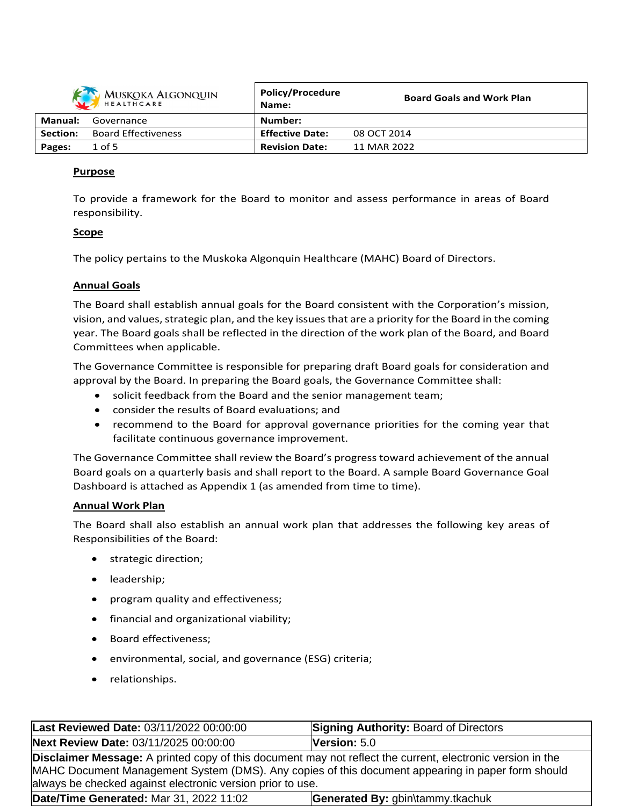|                | MUSKOKA ALGONQUIN          | <b>Policy/Procedure</b><br>Name: | <b>Board Goals and Work Plan</b> |
|----------------|----------------------------|----------------------------------|----------------------------------|
| <b>Manual:</b> | Governance                 | Number:                          |                                  |
| Section:       | <b>Board Effectiveness</b> | <b>Effective Date:</b>           | 08 OCT 2014                      |
| Pages:         | $1$ of 5                   | <b>Revision Date:</b>            | 11 MAR 2022                      |

## **Purpose**

To provide a framework for the Board to monitor and assess performance in areas of Board responsibility.

## **Scope**

The policy pertains to the Muskoka Algonquin Healthcare (MAHC) Board of Directors.

#### **Annual Goals**

The Board shall establish annual goals for the Board consistent with the Corporation's mission, vision, and values, strategic plan, and the key issues that are a priority for the Board in the coming year. The Board goals shall be reflected in the direction of the work plan of the Board, and Board Committees when applicable.

The Governance Committee is responsible for preparing draft Board goals for consideration and approval by the Board. In preparing the Board goals, the Governance Committee shall:

- solicit feedback from the Board and the senior management team;
- consider the results of Board evaluations; and
- recommend to the Board for approval governance priorities for the coming year that facilitate continuous governance improvement.

The Governance Committee shall review the Board's progress toward achievement of the annual Board goals on a quarterly basis and shall report to the Board. A sample Board Governance Goal Dashboard is attached as Appendix 1 (as amended from time to time).

#### **Annual Work Plan**

The Board shall also establish an annual work plan that addresses the following key areas of Responsibilities of the Board:

- strategic direction;
- leadership;
- program quality and effectiveness;
- financial and organizational viability;
- Board effectiveness;
- environmental, social, and governance (ESG) criteria;
- relationships.

| Last Reviewed Date: 03/11/2022 00:00:00                                                                                                                                                                                                                                              | <b>Signing Authority: Board of Directors</b> |  |  |  |  |
|--------------------------------------------------------------------------------------------------------------------------------------------------------------------------------------------------------------------------------------------------------------------------------------|----------------------------------------------|--|--|--|--|
| Next Review Date: 03/11/2025 00:00:00                                                                                                                                                                                                                                                | Version: $5.0$                               |  |  |  |  |
| <b>Disclaimer Message:</b> A printed copy of this document may not reflect the current, electronic version in the<br>MAHC Document Management System (DMS). Any copies of this document appearing in paper form should<br>always be checked against electronic version prior to use. |                                              |  |  |  |  |
| Date/Time Generated: Mar 31, 2022 11:02<br>Generated By: gbin\tammy.tkachuk                                                                                                                                                                                                          |                                              |  |  |  |  |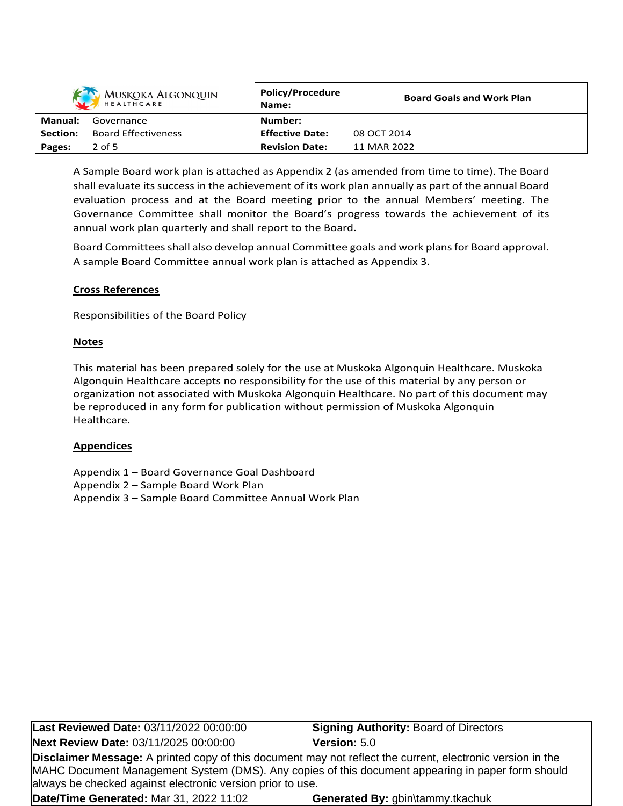|                | <b>MUSKOKA ALGONQUIN</b><br>HEALTHCARE | Policy/Procedure<br>Name: | <b>Board Goals and Work Plan</b> |
|----------------|----------------------------------------|---------------------------|----------------------------------|
| <b>Manual:</b> | Governance                             | Number:                   |                                  |
| Section:       | <b>Board Effectiveness</b>             | <b>Effective Date:</b>    | 08 OCT 2014                      |
| Pages:         | $2$ of 5                               | <b>Revision Date:</b>     | 11 MAR 2022                      |

A Sample Board work plan is attached as Appendix 2 (as amended from time to time). The Board shall evaluate its success in the achievement of its work plan annually as part of the annual Board evaluation process and at the Board meeting prior to the annual Members' meeting. The Governance Committee shall monitor the Board's progress towards the achievement of its annual work plan quarterly and shall report to the Board.

Board Committeesshall also develop annual Committee goals and work plansfor Board approval. A sample Board Committee annual work plan is attached as Appendix 3.

## **Cross References**

Responsibilities of the Board Policy

#### **Notes**

This material has been prepared solely for the use at Muskoka Algonquin Healthcare. Muskoka Algonquin Healthcare accepts no responsibility for the use of this material by any person or organization not associated with Muskoka Algonquin Healthcare. No part of this document may be reproduced in any form for publication without permission of Muskoka Algonquin Healthcare.

#### **Appendices**

- Appendix 1 Board Governance Goal Dashboard
- Appendix 2 Sample Board Work Plan
- Appendix 3 Sample Board Committee Annual Work Plan

| Last Reviewed Date: 03/11/2022 00:00:00                                                                                                                                                                                | <b>Signing Authority: Board of Directors</b> |  |  |  |  |
|------------------------------------------------------------------------------------------------------------------------------------------------------------------------------------------------------------------------|----------------------------------------------|--|--|--|--|
| Next Review Date: 03/11/2025 00:00:00                                                                                                                                                                                  | Version: 5.0                                 |  |  |  |  |
| <b>Disclaimer Message:</b> A printed copy of this document may not reflect the current, electronic version in the<br>MAHC Document Management System (DMS). Any copies of this document appearing in paper form should |                                              |  |  |  |  |
| always be checked against electronic version prior to use.                                                                                                                                                             |                                              |  |  |  |  |
| Date/Time Generated: Mar 31, 2022 11:02<br>Generated By: gbin\tammy.tkachuk                                                                                                                                            |                                              |  |  |  |  |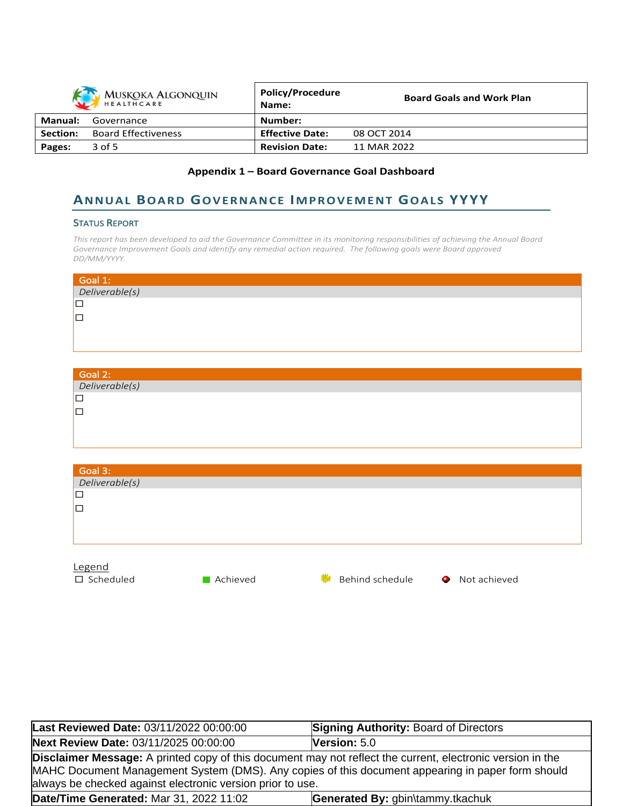|                | MUSKOKA ALGONQUIN          | <b>Policy/Procedure</b><br>Name: | <b>Board Goals and Work Plan</b> |
|----------------|----------------------------|----------------------------------|----------------------------------|
| <b>Manual:</b> | Governance                 | Number:                          |                                  |
| Section:       | <b>Board Effectiveness</b> | <b>Effective Date:</b>           | 08 OCT 2014                      |
| Pages:         | 3 of 5                     | <b>Revision Date:</b>            | 11 MAR 2022                      |

## **Appendix 1 – Board Governance Goal Dashboard**

# **ANNUAL BOARD GOVERNANCE IMPROVEMENT GOALS YYYY**

#### **STATUS REPORT**

This report has been developed to aid the Governance Committee in its monitoring responsibilities of achieving the Annual Board *Governance Improvement Goals and identify any remedial action required. The following goals were Board approved DD/MM/YYYY.*

| Goal 1:<br>Deliverable(s) |  |  |
|---------------------------|--|--|
| ∣□                        |  |  |
| ∣□                        |  |  |
|                           |  |  |
|                           |  |  |

| Goal 2:<br>Deliverable(s) |  |
|---------------------------|--|
| IГ                        |  |
| IП                        |  |
|                           |  |

| Goal 3:             |          |                      |                   |
|---------------------|----------|----------------------|-------------------|
| Deliverable(s)      |          |                      |                   |
| $\Box$              |          |                      |                   |
| $\Box$              |          |                      |                   |
|                     |          |                      |                   |
|                     |          |                      |                   |
|                     |          |                      |                   |
| Legend              |          |                      |                   |
| $\square$ Scheduled | Achieved | Behind schedule<br>₩ | Not achieved<br>۰ |

| Last Reviewed Date: 03/11/2022 00:00:00                                                                                                                                                                                                                                              | <b>Signing Authority: Board of Directors</b> |
|--------------------------------------------------------------------------------------------------------------------------------------------------------------------------------------------------------------------------------------------------------------------------------------|----------------------------------------------|
| Next Review Date: 03/11/2025 00:00:00                                                                                                                                                                                                                                                | Version: $5.0$                               |
| <b>Disclaimer Message:</b> A printed copy of this document may not reflect the current, electronic version in the<br>MAHC Document Management System (DMS). Any copies of this document appearing in paper form should<br>always be checked against electronic version prior to use. |                                              |
| Date/Time Generated: Mar 31, 2022 11:02                                                                                                                                                                                                                                              | Generated By: gbin\tammy.tkachuk             |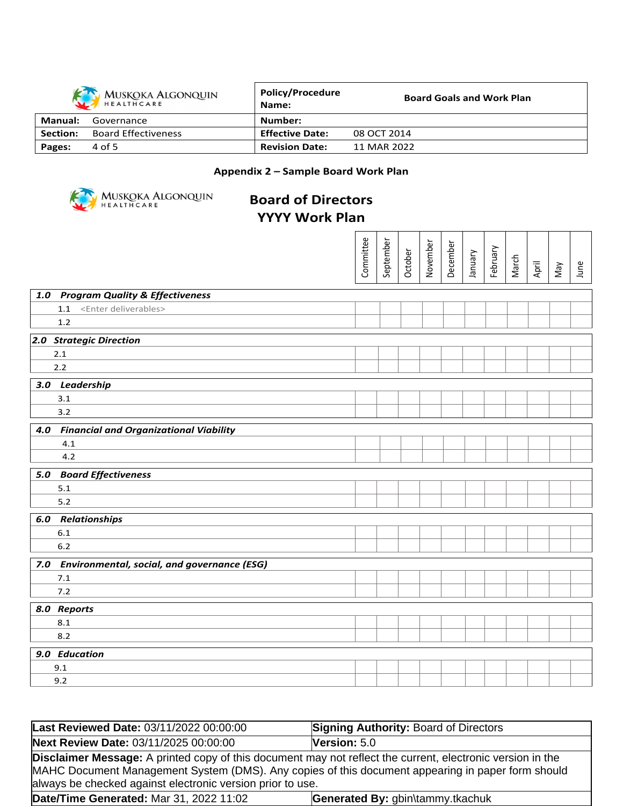|          | <b>MUSKOKA ALGONQUIN</b><br>HEALTHCARE | <b>Policy/Procedure</b><br>Name: | <b>Board Goals and Work Plan</b> |
|----------|----------------------------------------|----------------------------------|----------------------------------|
| Manual:  | Governance                             | Number:                          |                                  |
| Section: | <b>Board Effectiveness</b>             | <b>Effective Date:</b>           | 08 OCT 2014                      |
| Pages:   | 4 of 5                                 | <b>Revision Date:</b>            | 11 MAR 2022                      |

## **Appendix 2 – Sample Board Work Plan**



# **Board of Directors YYYY Work Plan**

|                                                 | Committee | September | October | November | December | Vienuer | February | March | April | VeW | June |
|-------------------------------------------------|-----------|-----------|---------|----------|----------|---------|----------|-------|-------|-----|------|
|                                                 |           |           |         |          |          |         |          |       |       |     |      |
| 1.0 Program Quality & Effectiveness             |           |           |         |          |          |         |          |       |       |     |      |
| 1.1 <enter deliverables=""></enter>             |           |           |         |          |          |         |          |       |       |     |      |
| 1.2                                             |           |           |         |          |          |         |          |       |       |     |      |
| 2.0 Strategic Direction                         |           |           |         |          |          |         |          |       |       |     |      |
| 2.1                                             |           |           |         |          |          |         |          |       |       |     |      |
| 2.2                                             |           |           |         |          |          |         |          |       |       |     |      |
| 3.0 Leadership                                  |           |           |         |          |          |         |          |       |       |     |      |
| 3.1                                             |           |           |         |          |          |         |          |       |       |     |      |
| 3.2                                             |           |           |         |          |          |         |          |       |       |     |      |
| 4.0 Financial and Organizational Viability      |           |           |         |          |          |         |          |       |       |     |      |
| 4.1                                             |           |           |         |          |          |         |          |       |       |     |      |
| 4.2                                             |           |           |         |          |          |         |          |       |       |     |      |
| 5.0 Board Effectiveness                         |           |           |         |          |          |         |          |       |       |     |      |
| 5.1                                             |           |           |         |          |          |         |          |       |       |     |      |
| $5.2$                                           |           |           |         |          |          |         |          |       |       |     |      |
| <b>6.0 Relationships</b>                        |           |           |         |          |          |         |          |       |       |     |      |
| 6.1                                             |           |           |         |          |          |         |          |       |       |     |      |
| $6.2$                                           |           |           |         |          |          |         |          |       |       |     |      |
| 7.0 Environmental, social, and governance (ESG) |           |           |         |          |          |         |          |       |       |     |      |
| 7.1                                             |           |           |         |          |          |         |          |       |       |     |      |
| 7.2                                             |           |           |         |          |          |         |          |       |       |     |      |
|                                                 |           |           |         |          |          |         |          |       |       |     |      |
| 8.0 Reports<br>8.1                              |           |           |         |          |          |         |          |       |       |     |      |
| 8.2                                             |           |           |         |          |          |         |          |       |       |     |      |
|                                                 |           |           |         |          |          |         |          |       |       |     |      |
| 9.0 Education                                   |           |           |         |          |          |         |          |       |       |     |      |
| 9.1<br>9.2                                      |           |           |         |          |          |         |          |       |       |     |      |
|                                                 |           |           |         |          |          |         |          |       |       |     |      |

| Last Reviewed Date: 03/11/2022 00:00:00                                                                                                                                                                                                                                       | <b>Signing Authority: Board of Directors</b> |  |  |  |  |
|-------------------------------------------------------------------------------------------------------------------------------------------------------------------------------------------------------------------------------------------------------------------------------|----------------------------------------------|--|--|--|--|
| Next Review Date: 03/11/2025 00:00:00                                                                                                                                                                                                                                         | Version: $5.0$                               |  |  |  |  |
| Disclaimer Message: A printed copy of this document may not reflect the current, electronic version in the<br>MAHC Document Management System (DMS). Any copies of this document appearing in paper form should<br>always be checked against electronic version prior to use. |                                              |  |  |  |  |
| <b>Date/Time Generated: Mar 31, 2022 11:02</b><br>Generated By: gbin\tammy.tkachuk                                                                                                                                                                                            |                                              |  |  |  |  |